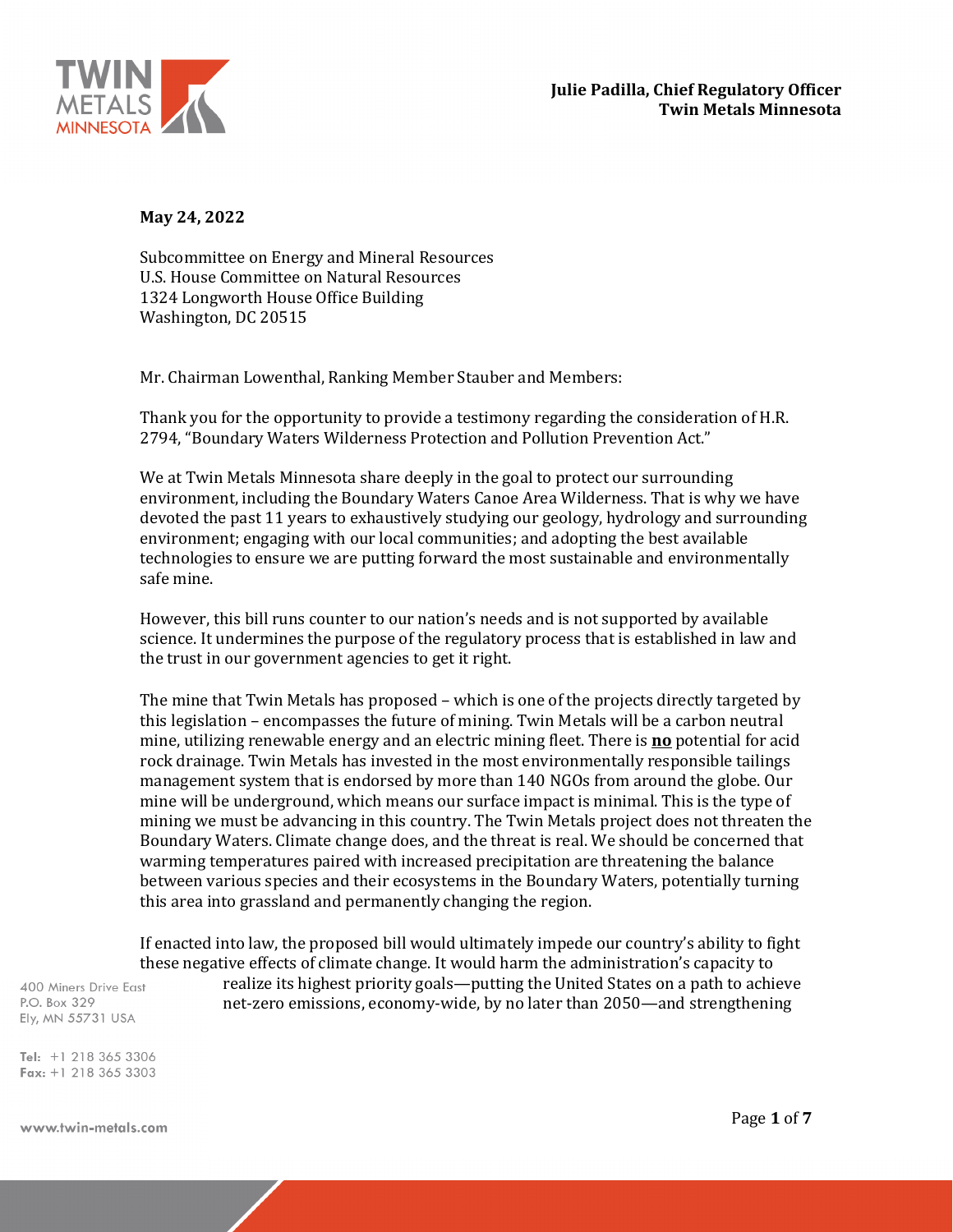

**May 24, 2022**

Subcommittee on Energy and Mineral Resources U.S. House Committee on Natural Resources 1324 Longworth House Office Building Washington, DC 20515

Mr. Chairman Lowenthal, Ranking Member Stauber and Members:

Thank you for the opportunity to provide a testimony regarding the consideration of H.R. 2794, "Boundary Waters Wilderness Protection and Pollution Prevention Act."

We at Twin Metals Minnesota share deeply in the goal to protect our surrounding environment, including the Boundary Waters Canoe Area Wilderness. That is why we have devoted the past 11 years to exhaustively studying our geology, hydrology and surrounding environment; engaging with our local communities; and adopting the best available technologies to ensure we are putting forward the most sustainable and environmentally safe mine.

However, this bill runs counter to our nation's needs and is not supported by available science. It undermines the purpose of the regulatory process that is established in law and the trust in our government agencies to get it right.

The mine that Twin Metals has proposed – which is one of the projects directly targeted by this legislation – encompasses the future of mining. Twin Metals will be a carbon neutral mine, utilizing renewable energy and an electric mining fleet. There is **no** potential for acid rock drainage. Twin Metals has invested in the most environmentally responsible tailings management system that is endorsed by more than 140 NGOs from around the globe. Our mine will be underground, which means our surface impact is minimal. This is the type of mining we must be advancing in this country. The Twin Metals project does not threaten the Boundary Waters. Climate change does, and the threat is real. We should be concerned that warming temperatures paired with increased precipitation are threatening the balance between various species and their ecosystems in the Boundary Waters, potentially turning this area into grassland and permanently changing the region.

If enacted into law, the proposed bill would ultimately impede our country's ability to fight these negative effects of climate change. It would harm the administration's capacity to

400 Miners Drive East P.O. Box 329 Ely, MN 55731 USA

realize its highest priority goals—putting the United States on a path to achieve net-zero emissions, economy-wide, by no later than 2050—and strengthening

Tel:  $+1$  218 365 3306 Fax: +1 218 365 3303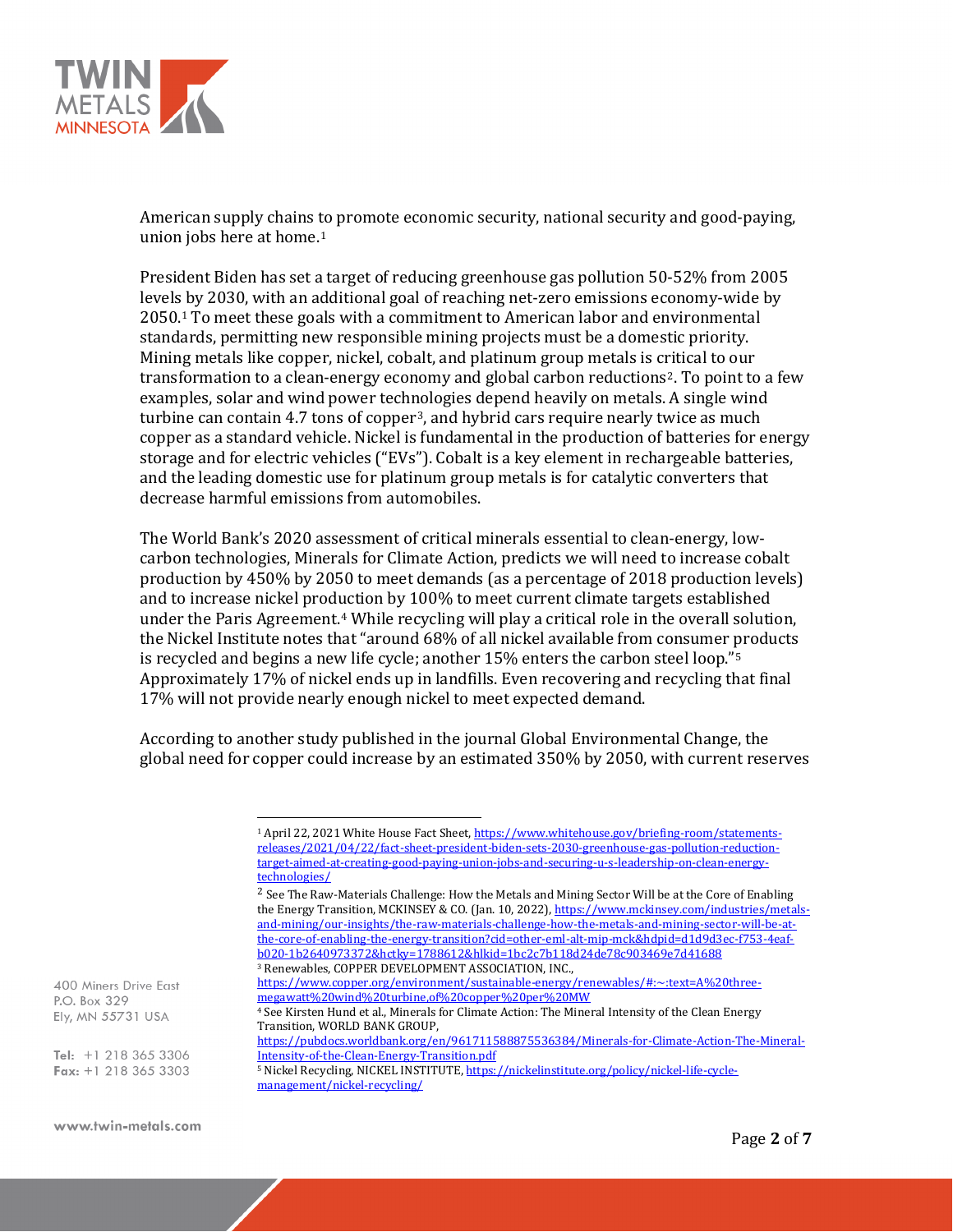

American supply chains [to](#page-1-0) promote economic security, national security and good-paying, union jobs here at home.<sup>1</sup>

President Biden has set a target of reducing greenhouse gas pollution 50-52% from 2005 levels by 2030, with an additional goal of reaching net-zero emissions economy-wide by 2050.1 To meet these goals with a commitment to American labor and environmental standards, permitting new responsible mining projects must be a domestic priority. Mining metals like copper, nickel, cobalt, and platinum group metals is critical to our transformation to a clean-energy economy and global carbon reductions[2](#page-1-1). To point to a few examples, solar and wind power technologies depend heavily on metals. A single wind turbine can contain 4.7 tons of copper[3](#page-1-2), and hybrid cars require nearly twice as much copper as a standard vehicle. Nickel is fundamental in the production of batteries for energy storage and for electric vehicles ("EVs"). Cobalt is a key element in rechargeable batteries, and the leading domestic use for platinum group metals is for catalytic converters that decrease harmful emissions from automobiles.

The World Bank's 2020 assessment of critical minerals essential to clean-energy, lowcarbon technologies, Minerals for Climate Action, predicts we will need to increase cobalt production by 450% by 2050 to meet demands (as a percentage of 2018 production levels) and to increase nickel production by 100% to meet current climate targets established under the Paris Agreement.<sup>[4](#page-1-3)</sup> While recycling will play a critical role in the overall solution, the Nickel Institute notes that "around 68% of all nickel available from consumer [p](#page-1-4)roducts is recycled and begins a new life cycle; another 15% enters the carbon steel loop."5 Approximately 17% of nickel ends up in landfills. Even recovering and recycling that final 17% will not provide nearly enough nickel to meet expected demand.

According to another study published in the journal Global Environmental Change, the global need for copper could increase by an estimated 350% by 2050, with current reserves

[megawatt%20wind%20turbine,of%20copper%20per%20MW](https://www.copper.org/environment/sustainable-energy/renewables/#:%7E:text=A%20three-megawatt%20wind%20turbine,of%20copper%20per%20MW)

<span id="page-1-3"></span><span id="page-1-2"></span><span id="page-1-1"></span><span id="page-1-0"></span>400 Miners Drive East P.O. Box 329 Ely, MN 55731 USA

<span id="page-1-4"></span>Tel: +1 218 365 3306 Fax:  $+1$  218 365 3303

<sup>1</sup> April 22, 2021 White House Fact Sheet[, https://www.whitehouse.gov/briefing-room/statements](https://www.whitehouse.gov/briefing-room/statements-releases/2021/04/22/fact-sheet-president-biden-sets-2030-greenhouse-gas-pollution-reduction-target-aimed-at-creating-good-paying-union-jobs-and-securing-u-s-leadership-on-clean-energy-technologies/)[releases/2021/04/22/fact-sheet-president-biden-sets-2030-greenhouse-gas-pollution-reduction](https://www.whitehouse.gov/briefing-room/statements-releases/2021/04/22/fact-sheet-president-biden-sets-2030-greenhouse-gas-pollution-reduction-target-aimed-at-creating-good-paying-union-jobs-and-securing-u-s-leadership-on-clean-energy-technologies/)[target-aimed-at-creating-good-paying-union-jobs-and-securing-u-s-leadership-on-clean-energy](https://www.whitehouse.gov/briefing-room/statements-releases/2021/04/22/fact-sheet-president-biden-sets-2030-greenhouse-gas-pollution-reduction-target-aimed-at-creating-good-paying-union-jobs-and-securing-u-s-leadership-on-clean-energy-technologies/)[technologies/](https://www.whitehouse.gov/briefing-room/statements-releases/2021/04/22/fact-sheet-president-biden-sets-2030-greenhouse-gas-pollution-reduction-target-aimed-at-creating-good-paying-union-jobs-and-securing-u-s-leadership-on-clean-energy-technologies/)

 $2$  See The Raw-Materials Challenge: How the Metals and Mining Sector Will be at the Core of Enabling the Energy Transition, MCKINSEY & CO. (Jan. 10, 2022)[, https://www.mckinsey.com/industries/metals](https://www.mckinsey.com/industries/metals-and-mining/our-insights/the-raw-materials-challenge-how-the-metals-and-mining-sector-will-be-at-the-core-of-enabling-the-energy-transition?cid=other-eml-alt-mip-mck&hdpid=d1d9d3ec-f753-4eaf-b020-1b2640973372&hctky=1788612&hlkid=1bc2c7b118d24de78c903469e7d41688)[and-mining/our-insights/the-raw-materials-challenge-how-the-metals-and-mining-sector-will-be-at](https://www.mckinsey.com/industries/metals-and-mining/our-insights/the-raw-materials-challenge-how-the-metals-and-mining-sector-will-be-at-the-core-of-enabling-the-energy-transition?cid=other-eml-alt-mip-mck&hdpid=d1d9d3ec-f753-4eaf-b020-1b2640973372&hctky=1788612&hlkid=1bc2c7b118d24de78c903469e7d41688)[the-core-of-enabling-the-energy-transition?cid=other-eml-alt-mip-mck&hdpid=d1d9d3ec-f753-4eaf](https://www.mckinsey.com/industries/metals-and-mining/our-insights/the-raw-materials-challenge-how-the-metals-and-mining-sector-will-be-at-the-core-of-enabling-the-energy-transition?cid=other-eml-alt-mip-mck&hdpid=d1d9d3ec-f753-4eaf-b020-1b2640973372&hctky=1788612&hlkid=1bc2c7b118d24de78c903469e7d41688)[b020-1b2640973372&hctky=1788612&hlkid=1bc2c7b118d24de78c903469e7d41688](https://www.mckinsey.com/industries/metals-and-mining/our-insights/the-raw-materials-challenge-how-the-metals-and-mining-sector-will-be-at-the-core-of-enabling-the-energy-transition?cid=other-eml-alt-mip-mck&hdpid=d1d9d3ec-f753-4eaf-b020-1b2640973372&hctky=1788612&hlkid=1bc2c7b118d24de78c903469e7d41688)

<sup>3</sup> Renewables, COPPER DEVELOPMENT ASSOCIATION, INC.,

[https://www.copper.org/environment/sustainable-energy/renewables/#:~:text=A%20three-](https://www.copper.org/environment/sustainable-energy/renewables/#:%7E:text=A%20three-megawatt%20wind%20turbine,of%20copper%20per%20MW)

<sup>4</sup> See Kirsten Hund et al., Minerals for Climate Action: The Mineral Intensity of the Clean Energy Transition, WORLD BANK GROUP,

[https://pubdocs.worldbank.org/en/961711588875536384/Minerals-for-Climate-Action-The-Mineral-](https://pubdocs.worldbank.org/en/961711588875536384/Minerals-for-Climate-Action-The-Mineral-Intensity-of-the-Clean-Energy-Transition.pdf)[Intensity-of-the-Clean-Energy-Transition.pdf](https://pubdocs.worldbank.org/en/961711588875536384/Minerals-for-Climate-Action-The-Mineral-Intensity-of-the-Clean-Energy-Transition.pdf)

<sup>5</sup> Nickel Recycling, NICKEL INSTITUTE[, https://nickelinstitute.org/policy/nickel-life-cycle](https://nickelinstitute.org/policy/nickel-life-cycle-management/nickel-recycling/)[management/nickel-recycling/](https://nickelinstitute.org/policy/nickel-life-cycle-management/nickel-recycling/)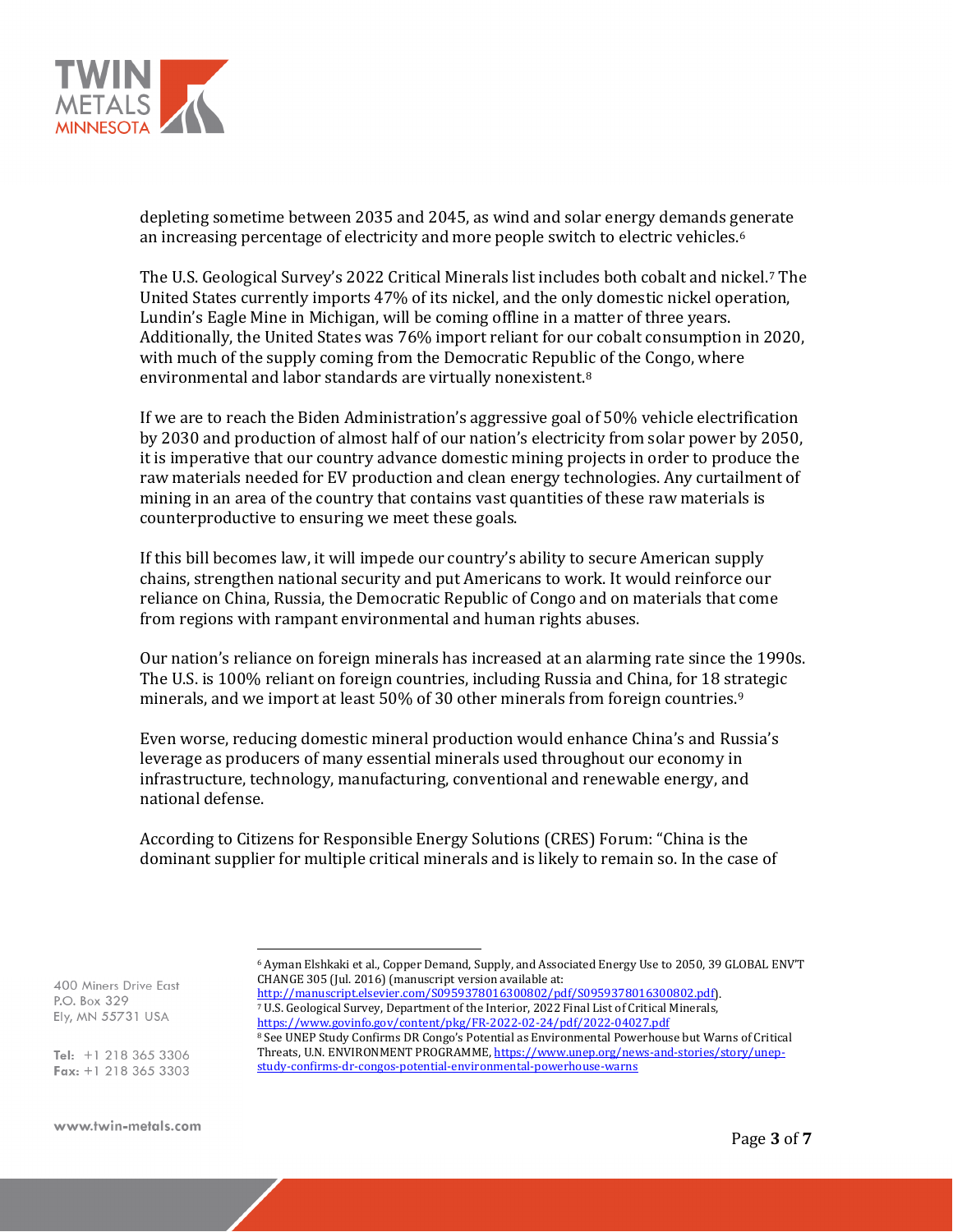

depleting sometime between 2035 and 2045, as wind and solar energy demands g[e](#page-2-0)nerate an increasing percentage of electricity and more people switch to electric vehicles.6

The U.S. Geological Survey's 2022 Critical Minerals list includes both cobalt and nickel.[7](#page-2-1) The United States currently imports 47% of its nickel, and the only domestic nickel operation, Lundin's Eagle Mine in Michigan, will be coming offline in a matter of three years. Additionally, the United States was 76% import reliant for our cobalt consumption in 2020, with much of the supply coming from the Democratic Republic of the Congo, where environmental and labor standards are virtually nonexistent.[8](#page-2-2)

If we are to reach the Biden Administration's aggressive goal of 50% vehicle electrification by 2030 and production of almost half of our nation's electricity from solar power by 2050, it is imperative that our country advance domestic mining projects in order to produce the raw materials needed for EV production and clean energy technologies. Any curtailment of mining in an area of the country that contains vast quantities of these raw materials is counterproductive to ensuring we meet these goals.

If this bill becomes law, it will impede our country's ability to secure American supply chains, strengthen national security and put Americans to work. It would reinforce our reliance on China, Russia, the Democratic Republic of Congo and on materials that come from regions with rampant environmental and human rights abuses.

Our nation's reliance on foreign minerals has increased at an alarming rate since the 1990s. The U.S. is 100% reliant on foreign countries, including Russia and China, for 18 strategic minerals, and we import at least 50% of 30 other minerals from foreign countries.<sup>[9](#page-2-3)</sup>

Even worse, reducing domestic mineral production would enhance China's and Russia's leverage as producers of many essential minerals used throughout our economy in infrastructure, technology, manufacturing, conventional and renewable energy, and national defense.

According to Citizens for Responsible Energy Solutions (CRES) Forum: "China is the dominant supplier for multiple critical minerals and is likely to remain so. In the case of

<span id="page-2-1"></span><span id="page-2-0"></span>400 Miners Drive East P.O. Box 329 Ely, MN 55731 USA

<span id="page-2-3"></span><span id="page-2-2"></span>Tel: +1 218 365 3306 Fax:  $+1$  218 365 3303 <sup>8</sup> See UNEP Study Confirms DR Congo's Potential as Environmental Powerhouse but Warns of Critical Threats, U.N. ENVIRONMENT PROGRAMME[, https://www.unep.org/news-and-stories/story/unep](https://www.unep.org/news-and-stories/story/unep-study-confirms-dr-congos-potential-environmental-powerhouse-warns)[study-confirms-dr-congos-potential-environmental-powerhouse-warns](https://www.unep.org/news-and-stories/story/unep-study-confirms-dr-congos-potential-environmental-powerhouse-warns)

<sup>6</sup> Ayman Elshkaki et al., Copper Demand, Supply, and Associated Energy Use to 2050, 39 GLOBAL ENV'T CHANGE 305 (Jul. 2016) (manuscript version available at:<br>http://manuscript.elsevier.com/S0959378016300802/pdf/S0959378016300802.pdf).

<sup>&</sup>lt;sup>7</sup> U.S. Geological Survey, Department of the Interior, 2022 Final List of Critical Minerals, <https://www.govinfo.gov/content/pkg/FR-2022-02-24/pdf/2022-04027.pdf>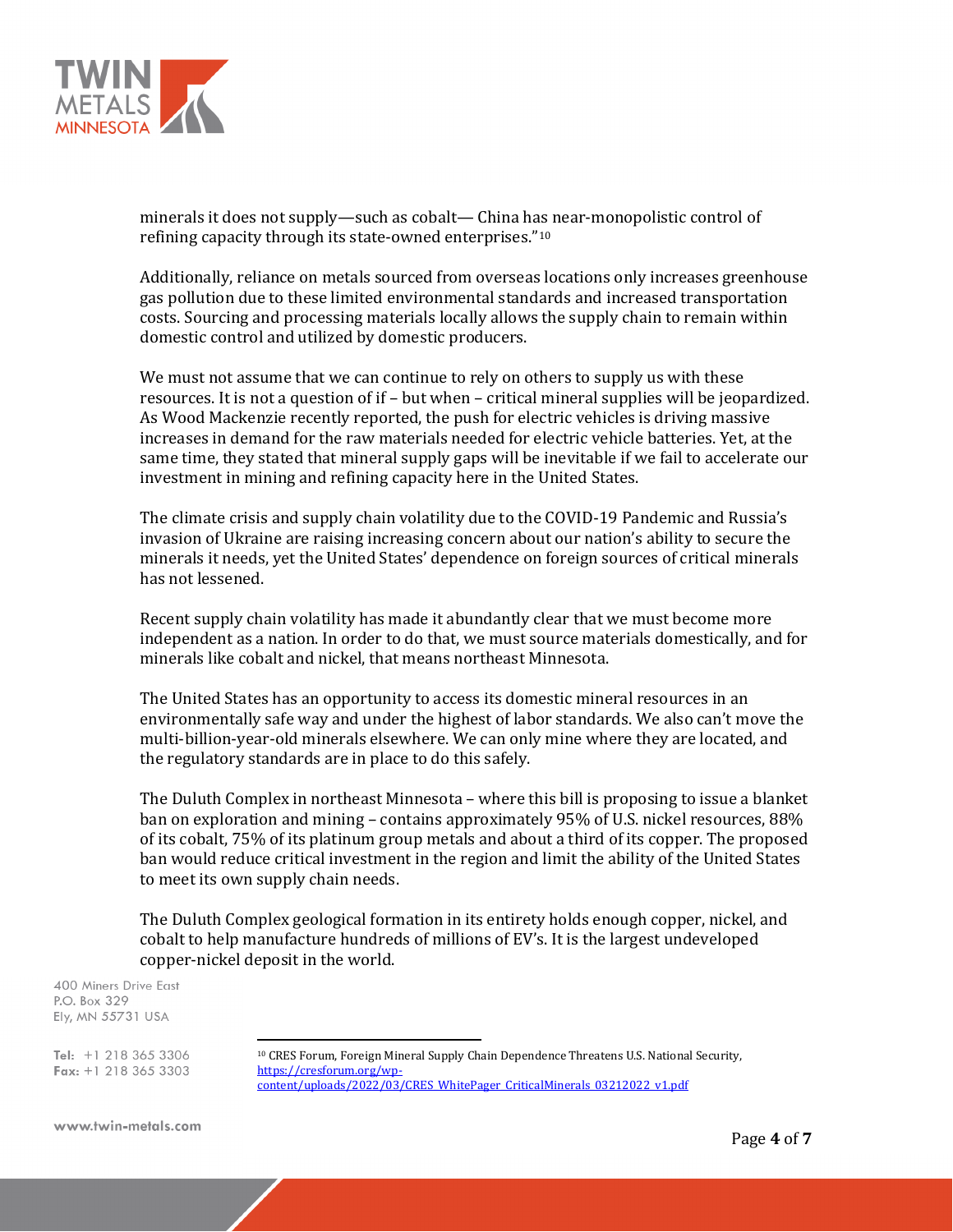

minerals it does not supply—such as cobalt— China has near-monopolistic control of refining capacity through its state-owned enterprises."[10](#page-3-0)

Additionally, reliance on metals sourced from overseas locations only increases greenhouse gas pollution due to these limited environmental standards and increased transportation costs. Sourcing and processing materials locally allows the supply chain to remain within domestic control and utilized by domestic producers.

We must not assume that we can continue to rely on others to supply us with these resources. It is not a question of if – but when – critical mineral supplies will be jeopardized. As Wood Mackenzie recently reported, the push for electric vehicles is driving massive increases in demand for the raw materials needed for electric vehicle batteries. Yet, at the same time, they stated that mineral supply gaps will be inevitable if we fail to accelerate our investment in mining and refining capacity here in the United States.

The climate crisis and supply chain volatility due to the COVID-19 Pandemic and Russia's invasion of Ukraine are raising increasing concern about our nation's ability to secure the minerals it needs, yet the United States' dependence on foreign sources of critical minerals has not lessened.

Recent supply chain volatility has made it abundantly clear that we must become more independent as a nation. In order to do that, we must source materials domestically, and for minerals like cobalt and nickel, that means northeast Minnesota.

The United States has an opportunity to access its domestic mineral resources in an environmentally safe way and under the highest of labor standards. We also can't move the multi-billion-year-old minerals elsewhere. We can only mine where they are located, and the regulatory standards are in place to do this safely.

The Duluth Complex in northeast Minnesota – where this bill is proposing to issue a blanket ban on exploration and mining – contains approximately 95% of U.S. nickel resources, 88% of its cobalt, 75% of its platinum group metals and about a third of its copper. The proposed ban would reduce critical investment in the region and limit the ability of the United States to meet its own supply chain needs.

The Duluth Complex geological formation in its entirety holds enough copper, nickel, and cobalt to help manufacture hundreds of millions of EV's. It is the largest undeveloped copper-nickel deposit in the world.

400 Miners Drive East P.O. Box 329 Ely, MN 55731 USA

<span id="page-3-0"></span>Tel:  $+1$  218 365 3306 Fax:  $+1$  218 365 3303

<sup>&</sup>lt;sup>10</sup> CRES Forum, Foreign Mineral Supply Chain Dependence Threatens U.S. National Security, https://cresforum.org/wp[content/uploads/2022/03/CRES\\_WhitePager\\_CriticalMinerals\\_03212022\\_v1.pdf](https://cresforum.org/wp-content/uploads/2022/03/CRES_WhitePager_CriticalMinerals_03212022_v1.pdf)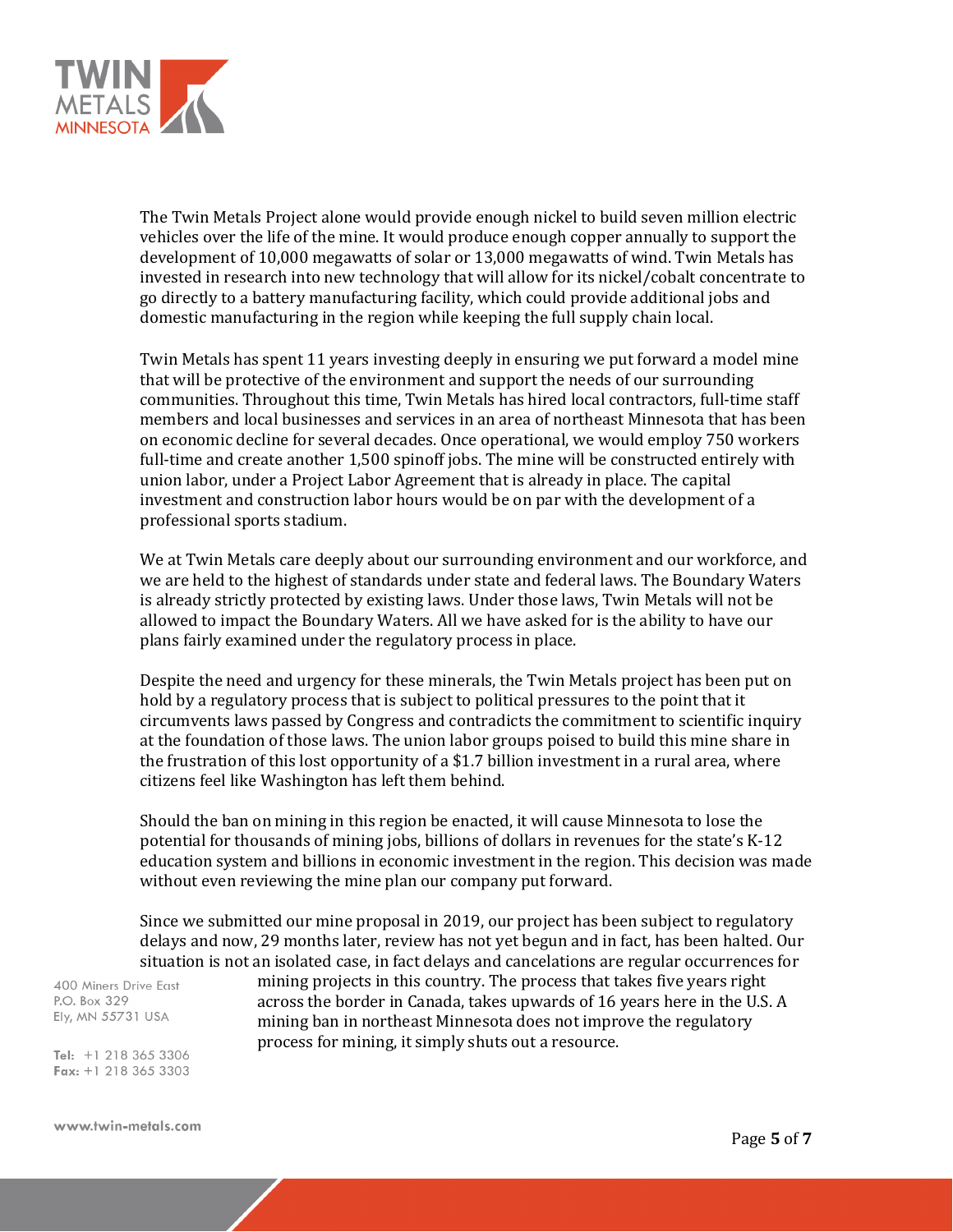

The Twin Metals Project alone would provide enough nickel to build seven million electric vehicles over the life of the mine. It would produce enough copper annually to support the development of 10,000 megawatts of solar or 13,000 megawatts of wind. Twin Metals has invested in research into new technology that will allow for its nickel/cobalt concentrate to go directly to a battery manufacturing facility, which could provide additional jobs and domestic manufacturing in the region while keeping the full supply chain local.

Twin Metals has spent 11 years investing deeply in ensuring we put forward a model mine that will be protective of the environment and support the needs of our surrounding communities. Throughout this time, Twin Metals has hired local contractors, full-time staff members and local businesses and services in an area of northeast Minnesota that has been on economic decline for several decades. Once operational, we would employ 750 workers full-time and create another 1,500 spinoff jobs. The mine will be constructed entirely with union labor, under a Project Labor Agreement that is already in place. The capital investment and construction labor hours would be on par with the development of a professional sports stadium.

We at Twin Metals care deeply about our surrounding environment and our workforce, and we are held to the highest of standards under state and federal laws. The Boundary Waters is already strictly protected by existing laws. Under those laws, Twin Metals will not be allowed to impact the Boundary Waters. All we have asked for is the ability to have our plans fairly examined under the regulatory process in place.

Despite the need and urgency for these minerals, the Twin Metals project has been put on hold by a regulatory process that is subject to political pressures to the point that it circumvents laws passed by Congress and contradicts the commitment to scientific inquiry at the foundation of those laws. The union labor groups poised to build this mine share in the frustration of this lost opportunity of a \$1.7 billion investment in a rural area, where citizens feel like Washington has left them behind.

Should the ban on mining in this region be enacted, it will cause Minnesota to lose the potential for thousands of mining jobs, billions of dollars in revenues for the state's K-12 education system and billions in economic investment in the region. This decision was made without even reviewing the mine plan our company put forward.

Since we submitted our mine proposal in 2019, our project has been subject to regulatory delays and now, 29 months later, review has not yet begun and in fact, has been halted. Our situation is not an isolated case, in fact delays and cancelations are regular occurrences for

400 Miners Drive East P.O. Box 329 Ely, MN 55731 USA

mining projects in this country. The process that takes five years right across the border in Canada, takes upwards of 16 years here in the U.S. A mining ban in northeast Minnesota does not improve the regulatory process for mining, it simply shuts out a resource.

Tel: +1 218 365 3306 Fax:  $+1$  218 365 3303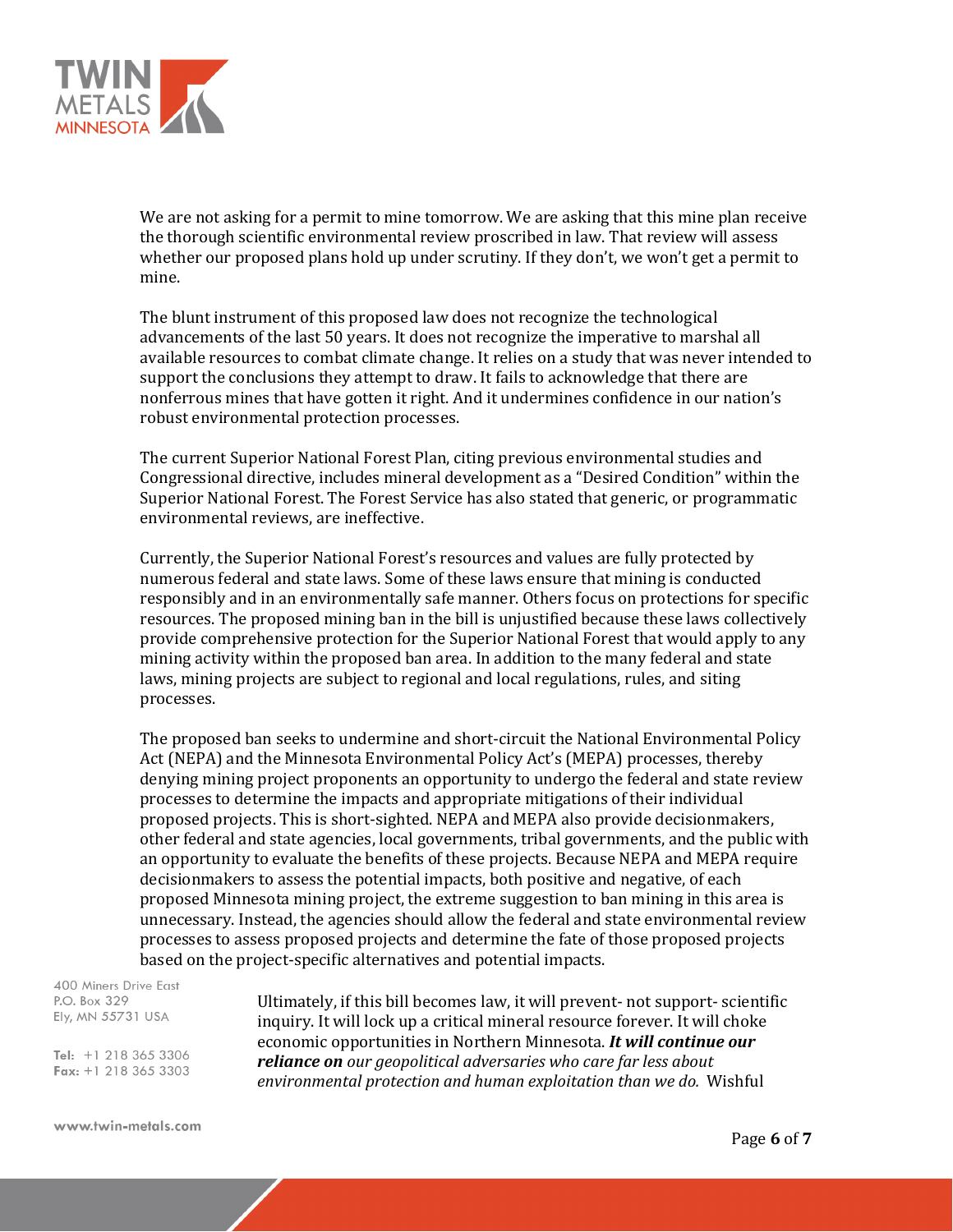

We are not asking for a permit to mine tomorrow. We are asking that this mine plan receive the thorough scientific environmental review proscribed in law. That review will assess whether our proposed plans hold up under scrutiny. If they don't, we won't get a permit to mine.

The blunt instrument of this proposed law does not recognize the technological advancements of the last 50 years. It does not recognize the imperative to marshal all available resources to combat climate change. It relies on a study that was never intended to support the conclusions they attempt to draw. It fails to acknowledge that there are nonferrous mines that have gotten it right. And it undermines confidence in our nation's robust environmental protection processes.

The current Superior National Forest Plan, citing previous environmental studies and Congressional directive, includes mineral development as a "Desired Condition" within the Superior National Forest. The Forest Service has also stated that generic, or programmatic environmental reviews, are ineffective.

Currently, the Superior National Forest's resources and values are fully protected by numerous federal and state laws. Some of these laws ensure that mining is conducted responsibly and in an environmentally safe manner. Others focus on protections for specific resources. The proposed mining ban in the bill is unjustified because these laws collectively provide comprehensive protection for the Superior National Forest that would apply to any mining activity within the proposed ban area. In addition to the many federal and state laws, mining projects are subject to regional and local regulations, rules, and siting processes.

The proposed ban seeks to undermine and short-circuit the National Environmental Policy Act (NEPA) and the Minnesota Environmental Policy Act's (MEPA) processes, thereby denying mining project proponents an opportunity to undergo the federal and state review processes to determine the impacts and appropriate mitigations of their individual proposed projects. This is short-sighted. NEPA and MEPA also provide decisionmakers, other federal and state agencies, local governments, tribal governments, and the public with an opportunity to evaluate the benefits of these projects. Because NEPA and MEPA require decisionmakers to assess the potential impacts, both positive and negative, of each proposed Minnesota mining project, the extreme suggestion to ban mining in this area is unnecessary. Instead, the agencies should allow the federal and state environmental review processes to assess proposed projects and determine the fate of those proposed projects based on the project-specific alternatives and potential impacts.

400 Miners Drive East P.O. Box 329 Ely, MN 55731 USA

Tel: +1 218 365 3306 Fax:  $+1$  218 365 3303 Ultimately, if this bill becomes law, it will prevent- not support- scientific inquiry. It will lock up a critical mineral resource forever. It will choke economic opportunities in Northern Minnesota. *It will continue our reliance on our geopolitical adversaries who care far less about environmental protection and human exploitation than we do.* Wishful